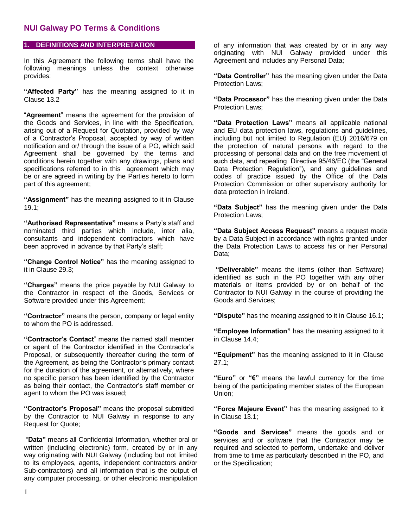### **1. DEFINITIONS AND INTERPRETATION**

In this Agreement the following terms shall have the following meanings unless the context otherwise provides:

**"Affected Party"** has the meaning assigned to it in Clause 13.2

"**Agreement**" means the agreement for the provision of the Goods and Services, in line with the Specification, arising out of a Request for Quotation, provided by way of a Contractor's Proposal, accepted by way of written notification and or/ through the issue of a PO, which said Agreement shall be governed by the terms and conditions herein together with any drawings, plans and specifications referred to in this agreement which may be or are agreed in writing by the Parties hereto to form part of this agreement;

**"Assignment"** has the meaning assigned to it in Clause 19.1;

**"Authorised Representative"** means a Party's staff and nominated third parties which include, inter alia, consultants and independent contractors which have been approved in advance by that Party's staff;

**"Change Control Notice"** has the meaning assigned to it in Clause 29.3;

**"Charges"** means the price payable by NUI Galway to the Contractor in respect of the Goods, Services or Software provided under this Agreement;

**"Contractor"** means the person, company or legal entity to whom the PO is addressed.

**"Contractor's Contact**" means the named staff member or agent of the Contractor identified in the Contractor's Proposal, or subsequently thereafter during the term of the Agreement, as being the Contractor's primary contact for the duration of the agreement, or alternatively, where no specific person has been identified by the Contractor as being their contact, the Contractor's staff member or agent to whom the PO was issued;

**"Contractor's Proposal"** means the proposal submitted by the Contractor to NUI Galway in response to any Request for Quote;

"**Data"** means all Confidential Information, whether oral or written (including electronic) form, created by or in any way originating with NUI Galway (including but not limited to its employees, agents, independent contractors and/or Sub-contractors) and all information that is the output of any computer processing, or other electronic manipulation of any information that was created by or in any way originating with NUI Galway provided under this Agreement and includes any Personal Data;

**"Data Controller"** has the meaning given under the Data Protection Laws;

**"Data Processor"** has the meaning given under the Data Protection Laws;

**"Data Protection Laws"** means all applicable national and EU data protection laws, regulations and guidelines, including but not limited to Regulation (EU) 2016/679 on the protection of natural persons with regard to the processing of personal data and on the free movement of such data, and repealing Directive 95/46/EC (the "General Data Protection Regulation"), and any guidelines and codes of practice issued by the Office of the Data Protection Commission or other supervisory authority for data protection in Ireland.

**"Data Subject"** has the meaning given under the Data Protection Laws;

**"Data Subject Access Request"** means a request made by a Data Subject in accordance with rights granted under the Data Protection Laws to access his or her Personal Data;

**"Deliverable"** means the items (other than Software) identified as such in the PO together with any other materials or items provided by or on behalf of the Contractor to NUI Galway in the course of providing the Goods and Services;

**"Dispute"** has the meaning assigned to it in Clause 16.1;

**"Employee Information"** has the meaning assigned to it in Clause 14.4;

**"Equipment"** has the meaning assigned to it in Clause 27.1;

**"Euro"** or **"€"** means the lawful currency for the time being of the participating member states of the European Union;

**"Force Majeure Event"** has the meaning assigned to it in Clause 13.1;

**"Goods and Services"** means the goods and or services and or software that the Contractor may be required and selected to perform, undertake and deliver from time to time as particularly described in the PO, and or the Specification;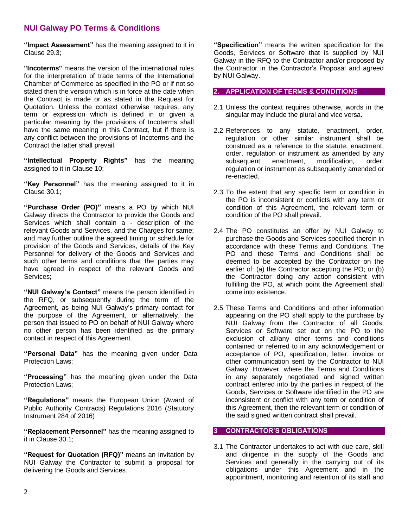**"Impact Assessment"** has the meaning assigned to it in Clause 29.3;

**"Incoterms"** means the version of the international rules for the interpretation of trade terms of the International Chamber of Commerce as specified in the PO or if not so stated then the version which is in force at the date when the Contract is made or as stated in the Request for Quotation. Unless the context otherwise requires, any term or expression which is defined in or given a particular meaning by the provisions of Incoterms shall have the same meaning in this Contract, but if there is any conflict between the provisions of Incoterms and the Contract the latter shall prevail.

**"Intellectual Property Rights"** has the meaning assigned to it in Clause 10;

**"Key Personnel"** has the meaning assigned to it in Clause 30.1;

**"Purchase Order (PO)"** means a PO by which NUI Galway directs the Contractor to provide the Goods and Services which shall contain a - description of the relevant Goods and Services, and the Charges for same; and may further outline the agreed timing or schedule for provision of the Goods and Services, details of the Key Personnel for delivery of the Goods and Services and such other terms and conditions that the parties may have agreed in respect of the relevant Goods and Services;

**"NUI Galway's Contact"** means the person identified in the RFQ, or subsequently during the term of the Agreement, as being NUI Galway's primary contact for the purpose of the Agreement, or alternatively, the person that issued to PO on behalf of NUI Galway where no other person has been identified as the primary contact in respect of this Agreement.

**"Personal Data"** has the meaning given under Data Protection Laws;

**"Processing"** has the meaning given under the Data Protection Laws;

**"Regulations"** means the European Union (Award of Public Authority Contracts) Regulations 2016 (Statutory Instrument 284 of 2016)

**"Replacement Personnel"** has the meaning assigned to it in Clause 30.1;

**"Request for Quotation (RFQ)"** means an invitation by NUI Galway the Contractor to submit a proposal for delivering the Goods and Services.

**"Specification"** means the written specification for the Goods, Services or Software that is supplied by NUI Galway in the RFQ to the Contractor and/or proposed by the Contractor in the Contractor's Proposal and agreed by NUI Galway.

#### **2. APPLICATION OF TERMS & CONDITIONS**

- 2.1 Unless the context requires otherwise, words in the singular may include the plural and vice versa.
- 2.2 References to any statute, enactment, order, regulation or other similar instrument shall be construed as a reference to the statute, enactment, order, regulation or instrument as amended by any subsequent enactment, modification, order, regulation or instrument as subsequently amended or re-enacted.
- 2.3 To the extent that any specific term or condition in the PO is inconsistent or conflicts with any term or condition of this Agreement, the relevant term or condition of the PO shall prevail.
- 2.4 The PO constitutes an offer by NUI Galway to purchase the Goods and Services specified therein in accordance with these Terms and Conditions. The PO and these Terms and Conditions shall be deemed to be accepted by the Contractor on the earlier of: (a) the Contractor accepting the PO; or (b) the Contractor doing any action consistent with fulfilling the PO, at which point the Agreement shall come into existence.
- 2.5 These Terms and Conditions and other information appearing on the PO shall apply to the purchase by NUI Galway from the Contractor of all Goods, Services or Software set out on the PO to the exclusion of all/any other terms and conditions contained or referred to in any acknowledgement or acceptance of PO, specification, letter, invoice or other communication sent by the Contractor to NUI Galway. However, where the Terms and Conditions in any separately negotiated and signed written contract entered into by the parties in respect of the Goods, Services or Software identified in the PO are inconsistent or conflict with any term or condition of this Agreement, then the relevant term or condition of the said signed written contract shall prevail.

#### **3 CONTRACTOR'S OBLIGATIONS**

3.1 The Contractor undertakes to act with due care, skill and diligence in the supply of the Goods and Services and generally in the carrying out of its obligations under this Agreement and in the appointment, monitoring and retention of its staff and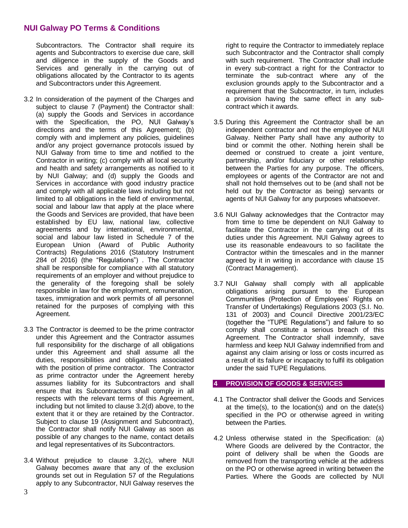Subcontractors. The Contractor shall require its agents and Subcontractors to exercise due care, skill and diligence in the supply of the Goods and Services and generally in the carrying out of obligations allocated by the Contractor to its agents and Subcontractors under this Agreement.

- 3.2 In consideration of the payment of the Charges and subject to clause 7 (Payment) the Contractor shall: (a) supply the Goods and Services in accordance with the Specification, the PO, NUI Galway's directions and the terms of this Agreement; (b) comply with and implement any policies, guidelines and/or any project governance protocols issued by NUI Galway from time to time and notified to the Contractor in writing; (c) comply with all local security and health and safety arrangements as notified to it by NUI Galway; and (d) supply the Goods and Services in accordance with good industry practice and comply with all applicable laws including but not limited to all obligations in the field of environmental, social and labour law that apply at the place where the Goods and Services are provided, that have been established by EU law, national law, collective agreements and by international, environmental, social and labour law listed in Schedule 7 of the European Union (Award of Public Authority Contracts) Regulations 2016 (Statutory Instrument 284 of 2016) (the "Regulations") . The Contractor shall be responsible for compliance with all statutory requirements of an employer and without prejudice to the generality of the foregoing shall be solely responsible in law for the employment, remuneration, taxes, immigration and work permits of all personnel retained for the purposes of complying with this Agreement.
- 3.3 The Contractor is deemed to be the prime contractor under this Agreement and the Contractor assumes full responsibility for the discharge of all obligations under this Agreement and shall assume all the duties, responsibilities and obligations associated with the position of prime contractor. The Contractor as prime contractor under the Agreement hereby assumes liability for its Subcontractors and shall ensure that its Subcontractors shall comply in all respects with the relevant terms of this Agreement, including but not limited to clause 3.2(d) above, to the extent that it or they are retained by the Contractor. Subject to clause 19 (Assignment and Subcontract), the Contractor shall notify NUI Galway as soon as possible of any changes to the name, contact details and legal representatives of its Subcontractors.
- 3.4 Without prejudice to clause 3.2(c), where NUI Galway becomes aware that any of the exclusion grounds set out in Regulation 57 of the Regulations apply to any Subcontractor, NUI Galway reserves the

right to require the Contractor to immediately replace such Subcontractor and the Contractor shall comply with such requirement. The Contractor shall include in every sub-contract a right for the Contractor to terminate the sub-contract where any of the exclusion grounds apply to the Subcontractor and a requirement that the Subcontractor, in turn, includes a provision having the same effect in any subcontract which it awards.

- 3.5 During this Agreement the Contractor shall be an independent contractor and not the employee of NUI Galway. Neither Party shall have any authority to bind or commit the other. Nothing herein shall be deemed or construed to create a joint venture, partnership, and/or fiduciary or other relationship between the Parties for any purpose. The officers, employees or agents of the Contractor are not and shall not hold themselves out to be (and shall not be held out by the Contractor as being) servants or agents of NUI Galway for any purposes whatsoever.
- 3.6 NUI Galway acknowledges that the Contractor may from time to time be dependent on NUI Galway to facilitate the Contractor in the carrying out of its duties under this Agreement. NUI Galway agrees to use its reasonable endeavours to so facilitate the Contractor within the timescales and in the manner agreed by it in writing in accordance with clause 15 (Contract Management).
- 3.7 NUI Galway shall comply with all applicable obligations arising pursuant to the European Communities (Protection of Employees' Rights on Transfer of Undertakings) Regulations 2003 (S.I. No. 131 of 2003) and Council Directive 2001/23/EC (together the "TUPE Regulations") and failure to so comply shall constitute a serious breach of this Agreement. The Contractor shall indemnify, save harmless and keep NUI Galway indemnified from and against any claim arising or loss or costs incurred as a result of its failure or incapacity to fulfil its obligation under the said TUPE Regulations.

#### **4 PROVISION OF GOODS & SERVICES**

- 4.1 The Contractor shall deliver the Goods and Services at the time(s), to the location(s) and on the date(s) specified in the PO or otherwise agreed in writing between the Parties.
- 4.2 Unless otherwise stated in the Specification: (a) Where Goods are delivered by the Contractor, the point of delivery shall be when the Goods are removed from the transporting vehicle at the address on the PO or otherwise agreed in writing between the Parties. Where the Goods are collected by NUI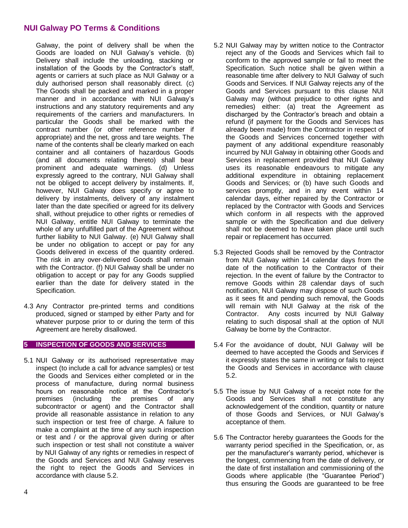Galway, the point of delivery shall be when the Goods are loaded on NUI Galway's vehicle. (b) Delivery shall include the unloading, stacking or installation of the Goods by the Contractor's staff, agents or carriers at such place as NUI Galway or a duly authorised person shall reasonably direct. (c) The Goods shall be packed and marked in a proper manner and in accordance with NUI Galway's instructions and any statutory requirements and any requirements of the carriers and manufacturers. In particular the Goods shall be marked with the contract number (or other reference number if appropriate) and the net, gross and tare weights. The name of the contents shall be clearly marked on each container and all containers of hazardous Goods (and all documents relating thereto) shall bear prominent and adequate warnings. (d) Unless expressly agreed to the contrary, NUI Galway shall not be obliged to accept delivery by instalments. If, however, NUI Galway does specify or agree to delivery by instalments, delivery of any instalment later than the date specified or agreed for its delivery shall, without prejudice to other rights or remedies of NUI Galway, entitle NUI Galway to terminate the whole of any unfulfilled part of the Agreement without further liability to NUI Galway. (e) NUI Galway shall be under no obligation to accept or pay for any Goods delivered in excess of the quantity ordered. The risk in any over-delivered Goods shall remain with the Contractor. (f) NUI Galway shall be under no obligation to accept or pay for any Goods supplied earlier than the date for delivery stated in the Specification.

4.3 Any Contractor pre-printed terms and conditions produced, signed or stamped by either Party and for whatever purpose prior to or during the term of this Agreement are hereby disallowed.

## **5 INSPECTION OF GOODS AND SERVICES**

5.1 NUI Galway or its authorised representative may inspect (to include a call for advance samples) or test the Goods and Services either completed or in the process of manufacture, during normal business hours on reasonable notice at the Contractor's premises (including the premises of any subcontractor or agent) and the Contractor shall provide all reasonable assistance in relation to any such inspection or test free of charge. A failure to make a complaint at the time of any such inspection or test and / or the approval given during or after such inspection or test shall not constitute a waiver by NUI Galway of any rights or remedies in respect of the Goods and Services and NUI Galway reserves the right to reject the Goods and Services in accordance with clause 5.2.

- 5.2 NUI Galway may by written notice to the Contractor reject any of the Goods and Services which fail to conform to the approved sample or fail to meet the Specification. Such notice shall be given within a reasonable time after delivery to NUI Galway of such Goods and Services. If NUI Galway rejects any of the Goods and Services pursuant to this clause NUI Galway may (without prejudice to other rights and remedies) either: (a) treat the Agreement as discharged by the Contractor's breach and obtain a refund (if payment for the Goods and Services has already been made) from the Contractor in respect of the Goods and Services concerned together with payment of any additional expenditure reasonably incurred by NUI Galway in obtaining other Goods and Services in replacement provided that NUI Galway uses its reasonable endeavours to mitigate any additional expenditure in obtaining replacement Goods and Services; or (b) have such Goods and services promptly, and in any event within 14 calendar days, either repaired by the Contractor or replaced by the Contractor with Goods and Services which conform in all respects with the approved sample or with the Specification and due delivery shall not be deemed to have taken place until such repair or replacement has occurred.
- 5.3 Rejected Goods shall be removed by the Contractor from NUI Galway within 14 calendar days from the date of the notification to the Contractor of their rejection. In the event of failure by the Contractor to remove Goods within 28 calendar days of such notification, NUI Galway may dispose of such Goods as it sees fit and pending such removal, the Goods will remain with NUI Galway at the risk of the Contractor. Any costs incurred by NUI Galway relating to such disposal shall at the option of NUI Galway be borne by the Contractor.
- 5.4 For the avoidance of doubt, NUI Galway will be deemed to have accepted the Goods and Services if it expressly states the same in writing or fails to reject the Goods and Services in accordance with clause 5.2.
- 5.5 The issue by NUI Galway of a receipt note for the Goods and Services shall not constitute any acknowledgement of the condition, quantity or nature of those Goods and Services, or NUI Galway's acceptance of them.
- 5.6 The Contractor hereby guarantees the Goods for the warranty period specified in the Specification, or, as per the manufacturer's warranty period, whichever is the longest, commencing from the date of delivery, or the date of first installation and commissioning of the Goods where applicable (the "Guarantee Period") thus ensuring the Goods are guaranteed to be free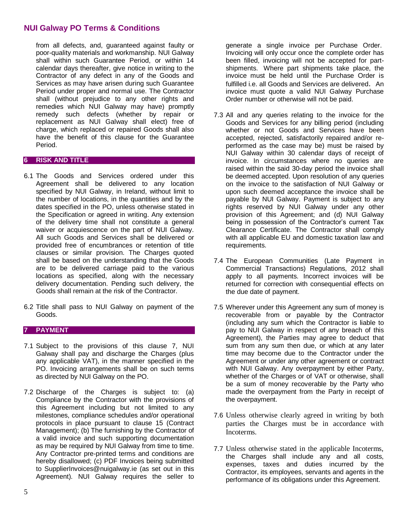from all defects, and, guaranteed against faulty or poor-quality materials and workmanship. NUI Galway shall within such Guarantee Period, or within 14 calendar days thereafter, give notice in writing to the Contractor of any defect in any of the Goods and Services as may have arisen during such Guarantee Period under proper and normal use. The Contractor shall (without prejudice to any other rights and remedies which NUI Galway may have) promptly remedy such defects (whether by repair or replacement as NUI Galway shall elect) free of charge, which replaced or repaired Goods shall also have the benefit of this clause for the Guarantee Period.

## **6 RISK AND TITLE**

- 6.1 The Goods and Services ordered under this Agreement shall be delivered to any location specified by NUI Galway, in Ireland, without limit to the number of locations, in the quantities and by the dates specified in the PO, unless otherwise stated in the Specification or agreed in writing. Any extension of the delivery time shall not constitute a general waiver or acquiescence on the part of NUI Galway. All such Goods and Services shall be delivered or provided free of encumbrances or retention of title clauses or similar provision. The Charges quoted shall be based on the understanding that the Goods are to be delivered carriage paid to the various locations as specified, along with the necessary delivery documentation. Pending such delivery, the Goods shall remain at the risk of the Contractor.
- 6.2 Title shall pass to NUI Galway on payment of the Goods.

## **7 PAYMENT**

- 7.1 Subject to the provisions of this clause 7, NUI Galway shall pay and discharge the Charges (plus any applicable VAT), in the manner specified in the PO. Invoicing arrangements shall be on such terms as directed by NUI Galway on the PO.
- 7.2 Discharge of the Charges is subject to: (a) Compliance by the Contractor with the provisions of this Agreement including but not limited to any milestones, compliance schedules and/or operational protocols in place pursuant to clause 15 (Contract Management); (b) The furnishing by the Contractor of a valid invoice and such supporting documentation as may be required by NUI Galway from time to time. Any Contractor pre-printed terms and conditions are hereby disallowed; (c) PDF Invoices being submitted to SupplierInvoices@nuigalway.ie (as set out in this Agreement). NUI Galway requires the seller to

generate a single invoice per Purchase Order. Invoicing will only occur once the complete order has been filled, invoicing will not be accepted for partshipments. Where part shipments take place, the invoice must be held until the Purchase Order is fulfilled i.e. all Goods and Services are delivered. An invoice must quote a valid NUI Galway Purchase Order number or otherwise will not be paid.

- 7.3 All and any queries relating to the invoice for the Goods and Services for any billing period (including whether or not Goods and Services have been accepted, rejected, satisfactorily repaired and/or reperformed as the case may be) must be raised by NUI Galway within 30 calendar days of receipt of invoice. In circumstances where no queries are raised within the said 30-day period the invoice shall be deemed accepted. Upon resolution of any queries on the invoice to the satisfaction of NUI Galway or upon such deemed acceptance the invoice shall be payable by NUI Galway. Payment is subject to any rights reserved by NUI Galway under any other provision of this Agreement; and (d) NUI Galway being in possession of the Contractor's current Tax Clearance Certificate. The Contractor shall comply with all applicable EU and domestic taxation law and requirements.
- 7.4 The European Communities (Late Payment in Commercial Transactions) Regulations, 2012 shall apply to all payments. Incorrect invoices will be returned for correction with consequential effects on the due date of payment.
- 7.5 Wherever under this Agreement any sum of money is recoverable from or payable by the Contractor (including any sum which the Contractor is liable to pay to NUI Galway in respect of any breach of this Agreement), the Parties may agree to deduct that sum from any sum then due, or which at any later time may become due to the Contractor under the Agreement or under any other agreement or contract with NUI Galway. Any overpayment by either Party, whether of the Charges or of VAT or otherwise, shall be a sum of money recoverable by the Party who made the overpayment from the Party in receipt of the overpayment.
- 7.6 Unless otherwise clearly agreed in writing by both parties the Charges must be in accordance with Incoterms.
- 7.7 Unless otherwise stated in the applicable Incoterms, the Charges shall include any and all costs, expenses, taxes and duties incurred by the Contractor, its employees, servants and agents in the performance of its obligations under this Agreement.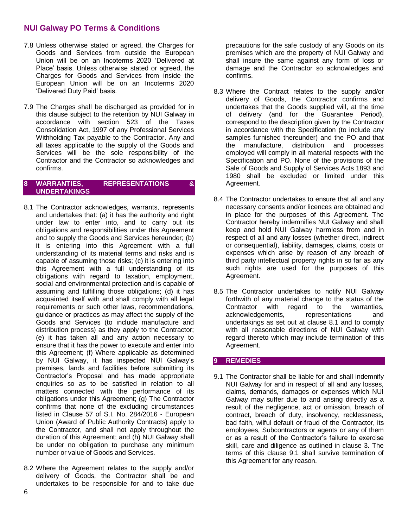- 7.8 Unless otherwise stated or agreed, the Charges for Goods and Services from outside the European Union will be on an Incoterms 2020 'Delivered at Place' basis. Unless otherwise stated or agreed, the Charges for Goods and Services from inside the European Union will be on an Incoterms 2020 'Delivered Duty Paid' basis.
- 7.9 The Charges shall be discharged as provided for in this clause subject to the retention by NUI Galway in accordance with section 523 of the Taxes Consolidation Act, 1997 of any Professional Services Withholding Tax payable to the Contractor. Any and all taxes applicable to the supply of the Goods and Services will be the sole responsibility of the Contractor and the Contractor so acknowledges and confirms.

### **8 WARRANTIES, REPRESENTATIONS & UNDERTAKINGS**

- 8.1 The Contractor acknowledges, warrants, represents and undertakes that: (a) it has the authority and right under law to enter into, and to carry out its obligations and responsibilities under this Agreement and to supply the Goods and Services hereunder; (b) it is entering into this Agreement with a full understanding of its material terms and risks and is capable of assuming those risks; (c) it is entering into this Agreement with a full understanding of its obligations with regard to taxation, employment, social and environmental protection and is capable of assuming and fulfilling those obligations; (d) it has acquainted itself with and shall comply with all legal requirements or such other laws, recommendations, guidance or practices as may affect the supply of the Goods and Services (to include manufacture and distribution process) as they apply to the Contractor; (e) it has taken all and any action necessary to ensure that it has the power to execute and enter into this Agreement; (f) Where applicable as determined by NUI Galway, it has inspected NUI Galway's premises, lands and facilities before submitting its Contractor's Proposal and has made appropriate enquiries so as to be satisfied in relation to all matters connected with the performance of its obligations under this Agreement; (g) The Contractor confirms that none of the excluding circumstances listed in Clause 57 of S.I. No. 284/2016 - European Union (Award of Public Authority Contracts) apply to the Contractor, and shall not apply throughout the duration of this Agreement; and (h) NUI Galway shall be under no obligation to purchase any minimum number or value of Goods and Services.
- 8.2 Where the Agreement relates to the supply and/or delivery of Goods, the Contractor shall be and undertakes to be responsible for and to take due

precautions for the safe custody of any Goods on its premises which are the property of NUI Galway and shall insure the same against any form of loss or damage and the Contractor so acknowledges and confirms.

- 8.3 Where the Contract relates to the supply and/or delivery of Goods, the Contractor confirms and undertakes that the Goods supplied will, at the time of delivery (and for the Guarantee Period), correspond to the description given by the Contractor in accordance with the Specification (to include any samples furnished thereunder) and the PO and that the manufacture, distribution and processes employed will comply in all material respects with the Specification and PO. None of the provisions of the Sale of Goods and Supply of Services Acts 1893 and 1980 shall be excluded or limited under this Agreement.
- 8.4 The Contractor undertakes to ensure that all and any necessary consents and/or licences are obtained and in place for the purposes of this Agreement. The Contractor hereby indemnifies NUI Galway and shall keep and hold NUI Galway harmless from and in respect of all and any losses (whether direct, indirect or consequential), liability, damages, claims, costs or expenses which arise by reason of any breach of third party intellectual property rights in so far as any such rights are used for the purposes of this Agreement.
- 8.5 The Contractor undertakes to notify NUI Galway forthwith of any material change to the status of the Contractor with regard to the warranties, acknowledgements, representations and undertakings as set out at clause 8.1 and to comply with all reasonable directions of NUI Galway with regard thereto which may include termination of this Agreement.

## **9 REMEDIES**

9.1 The Contractor shall be liable for and shall indemnify NUI Galway for and in respect of all and any losses, claims, demands, damages or expenses which NUI Galway may suffer due to and arising directly as a result of the negligence, act or omission, breach of contract, breach of duty, insolvency, recklessness, bad faith, wilful default or fraud of the Contractor, its employees, Subcontractors or agents or any of them or as a result of the Contractor's failure to exercise skill, care and diligence as outlined in clause 3. The terms of this clause 9.1 shall survive termination of this Agreement for any reason.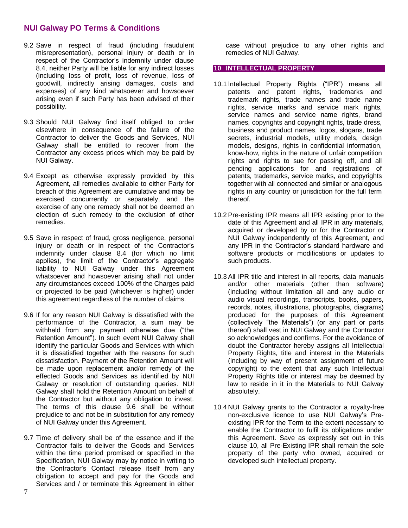- 9.2 Save in respect of fraud (including fraudulent misrepresentation), personal injury or death or in respect of the Contractor's indemnity under clause 8.4, neither Party will be liable for any indirect losses (including loss of profit, loss of revenue, loss of goodwill, indirectly arising damages, costs and expenses) of any kind whatsoever and howsoever arising even if such Party has been advised of their possibility.
- 9.3 Should NUI Galway find itself obliged to order elsewhere in consequence of the failure of the Contractor to deliver the Goods and Services, NUI Galway shall be entitled to recover from the Contractor any excess prices which may be paid by NUI Galway.
- 9.4 Except as otherwise expressly provided by this Agreement, all remedies available to either Party for breach of this Agreement are cumulative and may be exercised concurrently or separately, and the exercise of any one remedy shall not be deemed an election of such remedy to the exclusion of other remedies.
- 9.5 Save in respect of fraud, gross negligence, personal injury or death or in respect of the Contractor's indemnity under clause 8.4 (for which no limit applies), the limit of the Contractor's aggregate liability to NUI Galway under this Agreement whatsoever and howsoever arising shall not under any circumstances exceed 100% of the Charges paid or projected to be paid (whichever is higher) under this agreement regardless of the number of claims.
- 9.6 If for any reason NUI Galway is dissatisfied with the performance of the Contractor, a sum may be withheld from any payment otherwise due ("the Retention Amount"). In such event NUI Galway shall identify the particular Goods and Services with which it is dissatisfied together with the reasons for such dissatisfaction. Payment of the Retention Amount will be made upon replacement and/or remedy of the effected Goods and Services as identified by NUI Galway or resolution of outstanding queries. NUI Galway shall hold the Retention Amount on behalf of the Contractor but without any obligation to invest. The terms of this clause 9.6 shall be without prejudice to and not be in substitution for any remedy of NUI Galway under this Agreement.
- 9.7 Time of delivery shall be of the essence and if the Contractor fails to deliver the Goods and Services within the time period promised or specified in the Specification, NUI Galway may by notice in writing to the Contractor's Contact release itself from any obligation to accept and pay for the Goods and Services and / or terminate this Agreement in either

case without prejudice to any other rights and remedies of NUI Galway.

## **10 INTELLECTUAL PROPERTY**

- 10.1 Intellectual Property Rights ("IPR") means all patents and patent rights, trademarks and trademark rights, trade names and trade name rights, service marks and service mark rights, service names and service name rights, brand names, copyrights and copyright rights, trade dress, business and product names, logos, slogans, trade secrets, industrial models, utility models, design models, designs, rights in confidential information, know-how, rights in the nature of unfair competition rights and rights to sue for passing off, and all pending applications for and registrations of patents, trademarks, service marks, and copyrights together with all connected and similar or analogous rights in any country or jurisdiction for the full term thereof.
- 10.2 Pre-existing IPR means all IPR existing prior to the date of this Agreement and all IPR in any materials, acquired or developed by or for the Contractor or NUI Galway independently of this Agreement, and any IPR in the Contractor's standard hardware and software products or modifications or updates to such products.
- 10.3 All IPR title and interest in all reports, data manuals and/or other materials (other than software) (including without limitation all and any audio or audio visual recordings, transcripts, books, papers, records, notes, illustrations, photographs, diagrams) produced for the purposes of this Agreement (collectively "the Materials") (or any part or parts thereof) shall vest in NUI Galway and the Contractor so acknowledges and confirms. For the avoidance of doubt the Contractor hereby assigns all Intellectual Property Rights, title and interest in the Materials (including by way of present assignment of future copyright) to the extent that any such Intellectual Property Rights title or interest may be deemed by law to reside in it in the Materials to NUI Galway absolutely.
- 10.4 NUI Galway grants to the Contractor a royalty-free non-exclusive licence to use NUI Galway's Preexisting IPR for the Term to the extent necessary to enable the Contractor to fulfil its obligations under this Agreement. Save as expressly set out in this clause 10, all Pre-Existing IPR shall remain the sole property of the party who owned, acquired or developed such intellectual property.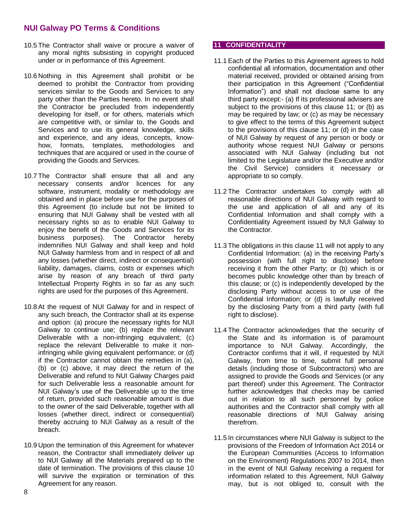- 10.5 The Contractor shall waive or procure a waiver of any moral rights subsisting in copyright produced under or in performance of this Agreement.
- 10.6 Nothing in this Agreement shall prohibit or be deemed to prohibit the Contractor from providing services similar to the Goods and Services to any party other than the Parties hereto. In no event shall the Contractor be precluded from independently developing for itself, or for others, materials which are competitive with, or similar to, the Goods and Services and to use its general knowledge, skills and experience, and any ideas, concepts, knowhow, formats, templates, methodologies and techniques that are acquired or used in the course of providing the Goods and Services.
- 10.7 The Contractor shall ensure that all and any necessary consents and/or licences for any software, instrument, modality or methodology are obtained and in place before use for the purposes of this Agreement (to include but not be limited to ensuring that NUI Galway shall be vested with all necessary rights so as to enable NUI Galway to enjoy the benefit of the Goods and Services for its business purposes). The Contractor hereby indemnifies NUI Galway and shall keep and hold NUI Galway harmless from and in respect of all and any losses (whether direct, indirect or consequential) liability, damages, claims, costs or expenses which arise by reason of any breach of third party Intellectual Property Rights in so far as any such rights are used for the purposes of this Agreement.
- 10.8 At the request of NUI Galway for and in respect of any such breach, the Contractor shall at its expense and option: (a) procure the necessary rights for NUI Galway to continue use; (b) replace the relevant Deliverable with a non-infringing equivalent; (c) replace the relevant Deliverable to make it noninfringing while giving equivalent performance; or (d) if the Contractor cannot obtain the remedies in (a), (b) or (c) above, it may direct the return of the Deliverable and refund to NUI Galway Charges paid for such Deliverable less a reasonable amount for NUI Galway's use of the Deliverable up to the time of return, provided such reasonable amount is due to the owner of the said Deliverable, together with all losses (whether direct, indirect or consequential) thereby accruing to NUI Galway as a result of the breach.
- 10.9 Upon the termination of this Agreement for whatever reason, the Contractor shall immediately deliver up to NUI Galway all the Materials prepared up to the date of termination. The provisions of this clause 10 will survive the expiration or termination of this Agreement for any reason.

### **11 CONFIDENTIALITY**

- 11.1 Each of the Parties to this Agreement agrees to hold confidential all information, documentation and other material received, provided or obtained arising from their participation in this Agreement ("Confidential Information") and shall not disclose same to any third party except:- (a) If its professional advisers are subject to the provisions of this clause 11; or (b) as may be required by law; or (c) as may be necessary to give effect to the terms of this Agreement subject to the provisions of this clause 11; or (d) in the case of NUI Galway by request of any person or body or authority whose request NUI Galway or persons associated with NUI Galway (including but not limited to the Legislature and/or the Executive and/or the Civil Service) considers it necessary or appropriate to so comply.
- 11.2 The Contractor undertakes to comply with all reasonable directions of NUI Galway with regard to the use and application of all and any of its Confidential Information and shall comply with a Confidentiality Agreement issued by NUI Galway to the Contractor.
- 11.3 The obligations in this clause 11 will not apply to any Confidential Information: (a) in the receiving Party's possession (with full right to disclose) before receiving it from the other Party; or (b) which is or becomes public knowledge other than by breach of this clause; or (c) is independently developed by the disclosing Party without access to or use of the Confidential Information; or (d) is lawfully received by the disclosing Party from a third party (with full right to disclose).
- 11.4 The Contractor acknowledges that the security of the State and its information is of paramount importance to NUI Galway. Accordingly, the Contractor confirms that it will, if requested by NUI Galway, from time to time, submit full personal details (including those of Subcontractors) who are assigned to provide the Goods and Services (or any part thereof) under this Agreement. The Contractor further acknowledges that checks may be carried out in relation to all such personnel by police authorities and the Contractor shall comply with all reasonable directions of NUI Galway arising therefrom.
- 11.5 In circumstances where NUI Galway is subject to the provisions of the Freedom of Information Act 2014 or the European Communities (Access to Information on the Environment) Regulations 2007 to 2014, then in the event of NUI Galway receiving a request for information related to this Agreement, NUI Galway may, but is not obliged to, consult with the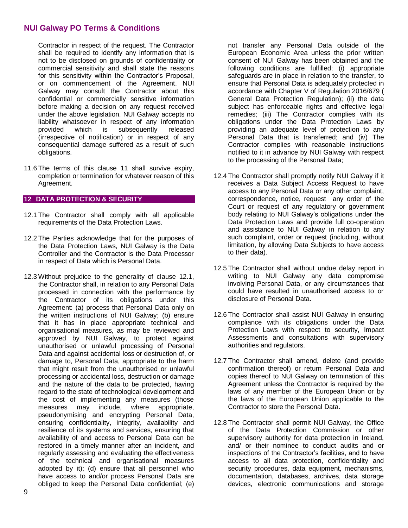Contractor in respect of the request. The Contractor shall be required to identify any information that is not to be disclosed on grounds of confidentiality or commercial sensitivity and shall state the reasons for this sensitivity within the Contractor's Proposal, or on commencement of the Agreement. NUI Galway may consult the Contractor about this confidential or commercially sensitive information before making a decision on any request received under the above legislation. NUI Galway accepts no liability whatsoever in respect of any information provided which is subsequently released (irrespective of notification) or in respect of any consequential damage suffered as a result of such obligations.

11.6 The terms of this clause 11 shall survive expiry, completion or termination for whatever reason of this Agreement.

## **12 DATA PROTECTION & SECURITY**

- 12.1 The Contractor shall comply with all applicable requirements of the Data Protection Laws.
- 12.2 The Parties acknowledge that for the purposes of the Data Protection Laws, NUI Galway is the Data Controller and the Contractor is the Data Processor in respect of Data which is Personal Data.
- 12.3 Without prejudice to the generality of clause 12.1, the Contractor shall, in relation to any Personal Data processed in connection with the performance by the Contractor of its obligations under this Agreement: (a) process that Personal Data only on the written instructions of NUI Galway; (b) ensure that it has in place appropriate technical and organisational measures, as may be reviewed and approved by NUI Galway, to protect against unauthorised or unlawful processing of Personal Data and against accidental loss or destruction of, or damage to, Personal Data, appropriate to the harm that might result from the unauthorised or unlawful processing or accidental loss, destruction or damage and the nature of the data to be protected, having regard to the state of technological development and the cost of implementing any measures (those measures may include, where appropriate, pseudonymising and encrypting Personal Data, ensuring confidentiality, integrity, availability and resilience of its systems and services, ensuring that availability of and access to Personal Data can be restored in a timely manner after an incident, and regularly assessing and evaluating the effectiveness of the technical and organisational measures adopted by it); (d) ensure that all personnel who have access to and/or process Personal Data are obliged to keep the Personal Data confidential; (e)

not transfer any Personal Data outside of the European Economic Area unless the prior written consent of NUI Galway has been obtained and the following conditions are fulfilled; (i) appropriate safeguards are in place in relation to the transfer, to ensure that Personal Data is adequately protected in accordance with Chapter V of Regulation 2016/679 ( General Data Protection Regulation); (ii) the data subject has enforceable rights and effective legal remedies; (iii) The Contractor complies with its obligations under the Data Protection Laws by providing an adequate level of protection to any Personal Data that is transferred; and (iv) The Contractor complies with reasonable instructions notified to it in advance by NUI Galway with respect to the processing of the Personal Data;

- 12.4 The Contractor shall promptly notify NUI Galway if it receives a Data Subject Access Request to have access to any Personal Data or any other complaint, correspondence, notice, request any order of the Court or request of any regulatory or government body relating to NUI Galway's obligations under the Data Protection Laws and provide full co-operation and assistance to NUI Galway in relation to any such complaint, order or request (including, without limitation, by allowing Data Subjects to have access to their data).
- 12.5 The Contractor shall without undue delay report in writing to NUI Galway any data compromise involving Personal Data, or any circumstances that could have resulted in unauthorised access to or disclosure of Personal Data.
- 12.6 The Contractor shall assist NUI Galway in ensuring compliance with its obligations under the Data Protection Laws with respect to security, Impact Assessments and consultations with supervisory authorities and regulators.
- 12.7 The Contractor shall amend, delete (and provide confirmation thereof) or return Personal Data and copies thereof to NUI Galway on termination of this Agreement unless the Contractor is required by the laws of any member of the European Union or by the laws of the European Union applicable to the Contractor to store the Personal Data.
- 12.8 The Contractor shall permit NUI Galway, the Office of the Data Protection Commission or other supervisory authority for data protection in Ireland, and/ or their nominee to conduct audits and or inspections of the Contractor's facilities, and to have access to all data protection, confidentiality and security procedures, data equipment, mechanisms, documentation, databases, archives, data storage devices, electronic communications and storage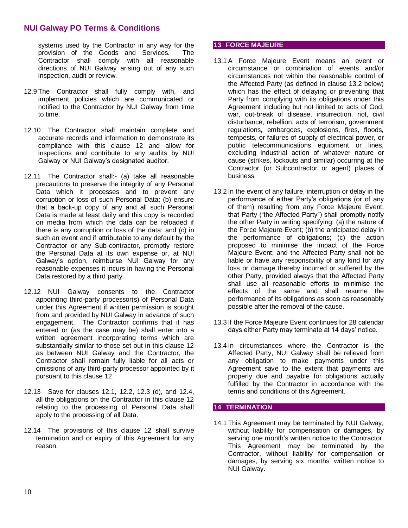systems used by the Contractor in any way for the provision of the Goods and Services. The Contractor shall comply with all reasonable directions of NUI Galway arising out of any such inspection, audit or review.

- 12.9 The Contractor shall fully comply with, and implement policies which are communicated or notified to the Contractor by NUI Galway from time to time.
- 12.10 The Contractor shall maintain complete and accurate records and information to demonstrate its compliance with this clause 12 and allow for inspections and contribute to any audits by NUI Galway or NUI Galway's designated auditor.
- 12.11 The Contractor shall:- (a) take all reasonable precautions to preserve the integrity of any Personal Data which it processes and to prevent any corruption or loss of such Personal Data; (b) ensure that a back-up copy of any and all such Personal Data is made at least daily and this copy is recorded on media from which the data can be reloaded if there is any corruption or loss of the data; and (c) in such an event and if attributable to any default by the Contractor or any Sub-contractor, promptly restore the Personal Data at its own expense or, at NUI Galway's option, reimburse NUI Galway for any reasonable expenses it incurs in having the Personal Data restored by a third party.
- 12.12 NUI Galway consents to the Contractor appointing third-party processor(s) of Personal Data under this Agreement if written permission is sought from and provided by NUI Galway in advance of such engagement. The Contractor confirms that it has entered or (as the case may be) shall enter into a written agreement incorporating terms which are substantially similar to those set out in this clause 12 as between NUI Galway and the Contractor, the Contractor shall remain fully liable for all acts or omissions of any third-party processor appointed by it pursuant to this clause 12.
- 12.13 Save for clauses 12.1, 12.2, 12.3 (d), and 12.4, all the obligations on the Contractor in this clause 12 relating to the processing of Personal Data shall apply to the processing of all Data.
- 12.14 The provisions of this clause 12 shall survive termination and or expiry of this Agreement for any reason.

## **13 FORCE MAJEURE**

- 13.1 A Force Majeure Event means an event or circumstance or combination of events and/or circumstances not within the reasonable control of the Affected Party (as defined in clause 13.2 below) which has the effect of delaying or preventing that Party from complying with its obligations under this Agreement including but not limited to acts of God, war, out-break of disease, insurrection, riot, civil disturbance, rebellion, acts of terrorism, government regulations, embargoes, explosions, fires, floods, tempests, or failures of supply of electrical power, or public telecommunications equipment or lines, excluding industrial action of whatever nature or cause (strikes, lockouts and similar) occurring at the Contractor (or Subcontractor or agent) places of business.
- 13.2 In the event of any failure, interruption or delay in the performance of either Party's obligations (or of any of them) resulting from any Force Majeure Event, that Party ("the Affected Party") shall promptly notify the other Party in writing specifying: (a) the nature of the Force Majeure Event; (b) the anticipated delay in the performance of obligations; (c) the action proposed to minimise the impact of the Force Majeure Event; and the Affected Party shall not be liable or have any responsibility of any kind for any loss or damage thereby incurred or suffered by the other Party, provided always that the Affected Party shall use all reasonable efforts to minimise the effects of the same and shall resume the performance of its obligations as soon as reasonably possible after the removal of the cause.
- 13.3 If the Force Majeure Event continues for 28 calendar days either Party may terminate at 14 days' notice.
- 13.4 In circumstances where the Contractor is the Affected Party, NUI Galway shall be relieved from any obligation to make payments under this Agreement save to the extent that payments are properly due and payable for obligations actually fulfilled by the Contractor in accordance with the terms and conditions of this Agreement.

## **14 TERMINATION**

14.1 This Agreement may be terminated by NUI Galway, without liability for compensation or damages, by serving one month's written notice to the Contractor. This Agreement may be terminated by the Contractor, without liability for compensation or damages, by serving six months' written notice to NUI Galway.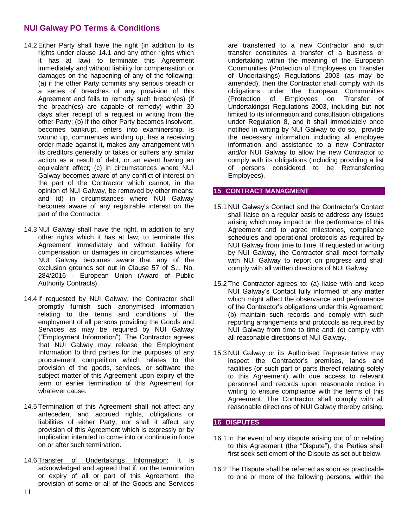- 14.2 Either Party shall have the right (in addition to its rights under clause 14.1 and any other rights which it has at law) to terminate this Agreement immediately and without liability for compensation or damages on the happening of any of the following: (a) if the other Party commits any serious breach or a series of breaches of any provision of this Agreement and fails to remedy such breach(es) (if the breach(es) are capable of remedy) within 30 days after receipt of a request in writing from the other Party; (b) if the other Party becomes insolvent, becomes bankrupt, enters into examinership, is wound up, commences winding up, has a receiving order made against it, makes any arrangement with its creditors generally or takes or suffers any similar action as a result of debt, or an event having an equivalent effect; (c) in circumstances where NUI Galway becomes aware of any conflict of interest on the part of the Contractor which cannot, in the opinion of NUI Galway, be removed by other means; and (d) in circumstances where NUI Galway becomes aware of any registrable interest on the part of the Contractor.
- 14.3 NUI Galway shall have the right, in addition to any other rights which it has at law, to terminate this Agreement immediately and without liability for compensation or damages in circumstances where NUI Galway becomes aware that any of the exclusion grounds set out in Clause 57 of S.I. No. 284/2016 - European Union (Award of Public Authority Contracts).
- 14.4 If requested by NUI Galway, the Contractor shall promptly furnish such anonymised information relating to the terms and conditions of the employment of all persons providing the Goods and Services as may be required by NUI Galway ("Employment Information"). The Contractor agrees that NUI Galway may release the Employment Information to third parties for the purposes of any procurement competition which relates to the provision of the goods, services, or software the subject matter of this Agreement upon expiry of the term or earlier termination of this Agreement for whatever cause.
- 14.5 Termination of this Agreement shall not affect any antecedent and accrued rights, obligations or liabilities of either Party, nor shall it affect any provision of this Agreement which is expressly or by implication intended to come into or continue in force on or after such termination.
- 14.6 Transfer of Undertakings Information: It is acknowledged and agreed that if, on the termination or expiry of all or part of this Agreement, the provision of some or all of the Goods and Services

are transferred to a new Contractor and such transfer constitutes a transfer of a business or undertaking within the meaning of the European Communities (Protection of Employees on Transfer of Undertakings) Regulations 2003 (as may be amended), then the Contractor shall comply with its obligations under the European Communities (Protection of Employees on Transfer of Undertakings) Regulations 2003, including but not limited to its information and consultation obligations under Regulation 8, and it shall immediately once notified in writing by NUI Galway to do so, provide the necessary information including all employee information and assistance to a new Contractor and/or NUI Galway to allow the new Contractor to comply with its obligations (including providing a list of persons considered to be Retransferring Employees).

## **15 CONTRACT MANAGMENT**

- 15.1 NUI Galway's Contact and the Contractor's Contact shall liaise on a regular basis to address any issues arising which may impact on the performance of this Agreement and to agree milestones, compliance schedules and operational protocols as required by NUI Galway from time to time. If requested in writing by NUI Galway, the Contractor shall meet formally with NUI Galway to report on progress and shall comply with all written directions of NUI Galway.
- 15.2 The Contractor agrees to: (a) liaise with and keep NUI Galway's Contact fully informed of any matter which might affect the observance and performance of the Contractor's obligations under this Agreement; (b) maintain such records and comply with such reporting arrangements and protocols as required by NUI Galway from time to time and: (c) comply with all reasonable directions of NUI Galway.
- 15.3 NUI Galway or its Authorised Representative may inspect the Contractor's premises, lands and facilities (or such part or parts thereof relating solely to this Agreement) with due access to relevant personnel and records upon reasonable notice in writing to ensure compliance with the terms of this Agreement. The Contractor shall comply with all reasonable directions of NUI Galway thereby arising.

## **16 DISPUTES**

- 16.1 In the event of any dispute arising out of or relating to this Agreement (the "Dispute"), the Parties shall first seek settlement of the Dispute as set out below.
- 16.2 The Dispute shall be referred as soon as practicable to one or more of the following persons, within the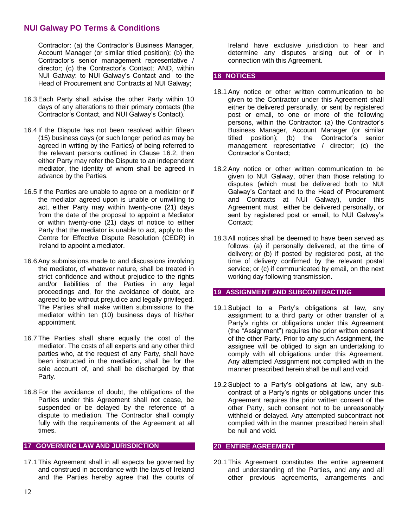Contractor: (a) the Contractor's Business Manager, Account Manager (or similar titled position); (b) the Contractor's senior management representative / director; (c) the Contractor's Contact; AND, within NUI Galway: to NUI Galway's Contact and to the Head of Procurement and Contracts at NUI Galway;

- 16.3 Each Party shall advise the other Party within 10 days of any alterations to their primary contacts (the Contractor's Contact, and NUI Galway's Contact).
- 16.4 If the Dispute has not been resolved within fifteen (15) business days (or such longer period as may be agreed in writing by the Parties) of being referred to the relevant persons outlined in Clause 16.2, then either Party may refer the Dispute to an independent mediator, the identity of whom shall be agreed in advance by the Parties.
- 16.5 If the Parties are unable to agree on a mediator or if the mediator agreed upon is unable or unwilling to act, either Party may within twenty-one (21) days from the date of the proposal to appoint a Mediator or within twenty-one (21) days of notice to either Party that the mediator is unable to act, apply to the Centre for Effective Dispute Resolution (CEDR) in Ireland to appoint a mediator.
- 16.6 Any submissions made to and discussions involving the mediator, of whatever nature, shall be treated in strict confidence and without prejudice to the rights and/or liabilities of the Parties in any legal proceedings and, for the avoidance of doubt, are agreed to be without prejudice and legally privileged. The Parties shall make written submissions to the mediator within ten (10) business days of his/her appointment.
- 16.7 The Parties shall share equally the cost of the mediator. The costs of all experts and any other third parties who, at the request of any Party, shall have been instructed in the mediation, shall be for the sole account of, and shall be discharged by that Party.
- 16.8 For the avoidance of doubt, the obligations of the Parties under this Agreement shall not cease, be suspended or be delayed by the reference of a dispute to mediation. The Contractor shall comply fully with the requirements of the Agreement at all times.

### **17 GOVERNING LAW AND JURISDICTION**

17.1 This Agreement shall in all aspects be governed by and construed in accordance with the laws of Ireland and the Parties hereby agree that the courts of Ireland have exclusive jurisdiction to hear and determine any disputes arising out of or in connection with this Agreement.

## **18 NOTICES**

- 18.1 Any notice or other written communication to be given to the Contractor under this Agreement shall either be delivered personally, or sent by registered post or email, to one or more of the following persons, within the Contractor: (a) the Contractor's Business Manager, Account Manager (or similar titled position); (b) the Contractor's senior management representative / director; (c) the Contractor's Contact;
- 18.2 Any notice or other written communication to be given to NUI Galway, other than those relating to disputes (which must be delivered both to NUI Galway's Contact and to the Head of Procurement and Contracts at NUI Galway), under this Agreement must either be delivered personally, or sent by registered post or email, to NUI Galway's Contact;
- 18.3 All notices shall be deemed to have been served as follows: (a) if personally delivered, at the time of delivery; or (b) if posted by registered post, at the time of delivery confirmed by the relevant postal service; or (c) if communicated by email, on the next working day following transmission.

#### **19 ASSIGNMENT AND SUBCONTRACTING**

- 19.1 Subject to a Party's obligations at law, any assignment to a third party or other transfer of a Party's rights or obligations under this Agreement (the "Assignment") requires the prior written consent of the other Party. Prior to any such Assignment, the assignee will be obliged to sign an undertaking to comply with all obligations under this Agreement. Any attempted Assignment not complied with in the manner prescribed herein shall be null and void.
- 19.2 Subject to a Party's obligations at law, any subcontract of a Party's rights or obligations under this Agreement requires the prior written consent of the other Party, such consent not to be unreasonably withheld or delayed. Any attempted subcontract not complied with in the manner prescribed herein shall be null and void.

#### **20 ENTIRE AGREEMENT**

20.1 This Agreement constitutes the entire agreement and understanding of the Parties, and any and all other previous agreements, arrangements and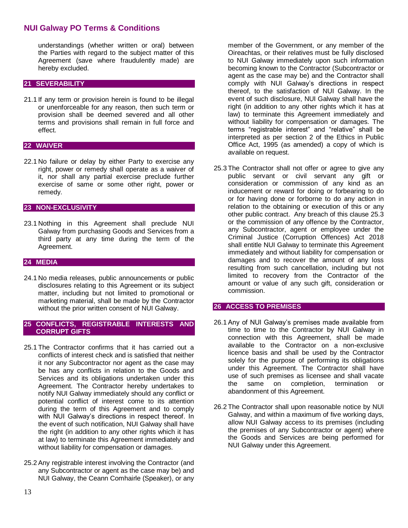understandings (whether written or oral) between the Parties with regard to the subject matter of this Agreement (save where fraudulently made) are hereby excluded.

### **21 SEVERABILITY**

21.1 If any term or provision herein is found to be illegal or unenforceable for any reason, then such term or provision shall be deemed severed and all other terms and provisions shall remain in full force and effect.

### **22 WAIVER**

22.1 No failure or delay by either Party to exercise any right, power or remedy shall operate as a waiver of it, nor shall any partial exercise preclude further exercise of same or some other right, power or remedy.

### **23 NON-EXCLUSIVITY**

23.1 Nothing in this Agreement shall preclude NUI Galway from purchasing Goods and Services from a third party at any time during the term of the Agreement.

#### **24 MEDIA**

24.1 No media releases, public announcements or public disclosures relating to this Agreement or its subject matter, including but not limited to promotional or marketing material, shall be made by the Contractor without the prior written consent of NUI Galway.

#### **25 CONFLICTS, REGISTRABLE INTERESTS AND CORRUPT GIFTS**

- 25.1 The Contractor confirms that it has carried out a conflicts of interest check and is satisfied that neither it nor any Subcontractor nor agent as the case may be has any conflicts in relation to the Goods and Services and its obligations undertaken under this Agreement. The Contractor hereby undertakes to notify NUI Galway immediately should any conflict or potential conflict of interest come to its attention during the term of this Agreement and to comply with NUI Galway's directions in respect thereof. In the event of such notification, NUI Galway shall have the right (in addition to any other rights which it has at law) to terminate this Agreement immediately and without liability for compensation or damages.
- 25.2 Any registrable interest involving the Contractor (and any Subcontractor or agent as the case may be) and NUI Galway, the Ceann Comhairle (Speaker), or any

member of the Government, or any member of the Oireachtas, or their relatives must be fully disclosed to NUI Galway immediately upon such information becoming known to the Contractor (Subcontractor or agent as the case may be) and the Contractor shall comply with NUI Galway's directions in respect thereof, to the satisfaction of NUI Galway. In the event of such disclosure, NUI Galway shall have the right (in addition to any other rights which it has at law) to terminate this Agreement immediately and without liability for compensation or damages. The terms "registrable interest" and "relative" shall be interpreted as per section 2 of the Ethics in Public Office Act, 1995 (as amended) a copy of which is available on request.

25.3 The Contractor shall not offer or agree to give any public servant or civil servant any gift or consideration or commission of any kind as an inducement or reward for doing or forbearing to do or for having done or forborne to do any action in relation to the obtaining or execution of this or any other public contract. Any breach of this clause 25.3 or the commission of any offence by the Contractor, any Subcontractor, agent or employee under the Criminal Justice (Corruption Offences) Act 2018 shall entitle NUI Galway to terminate this Agreement immediately and without liability for compensation or damages and to recover the amount of any loss resulting from such cancellation, including but not limited to recovery from the Contractor of the amount or value of any such gift, consideration or commission.

#### **26 ACCESS TO PREMISES**

- 26.1 Any of NUI Galway's premises made available from time to time to the Contractor by NUI Galway in connection with this Agreement, shall be made available to the Contractor on a non-exclusive licence basis and shall be used by the Contractor solely for the purpose of performing its obligations under this Agreement. The Contractor shall have use of such premises as licensee and shall vacate the same on completion, termination or abandonment of this Agreement.
- 26.2 The Contractor shall upon reasonable notice by NUI Galway, and within a maximum of five working days, allow NUI Galway access to its premises (including the premises of any Subcontractor or agent) where the Goods and Services are being performed for NUI Galway under this Agreement.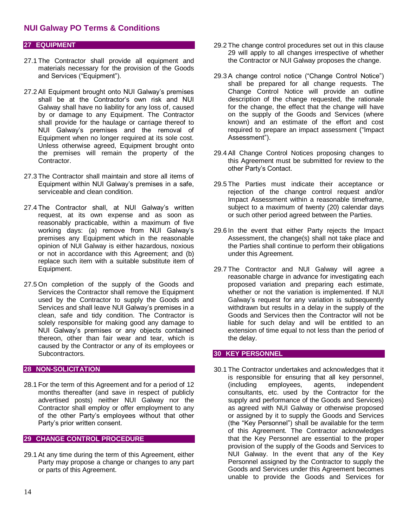## **27 EQUIPMENT**

- 27.1 The Contractor shall provide all equipment and materials necessary for the provision of the Goods and Services ("Equipment").
- 27.2 All Equipment brought onto NUI Galway's premises shall be at the Contractor's own risk and NUI Galway shall have no liability for any loss of, caused by or damage to any Equipment. The Contractor shall provide for the haulage or carriage thereof to NUI Galway's premises and the removal of Equipment when no longer required at its sole cost. Unless otherwise agreed, Equipment brought onto the premises will remain the property of the **Contractor**
- 27.3 The Contractor shall maintain and store all items of Equipment within NUI Galway's premises in a safe, serviceable and clean condition.
- 27.4 The Contractor shall, at NUI Galway's written request, at its own expense and as soon as reasonably practicable, within a maximum of five working days: (a) remove from NUI Galway's premises any Equipment which in the reasonable opinion of NUI Galway is either hazardous, noxious or not in accordance with this Agreement; and (b) replace such item with a suitable substitute item of Equipment.
- 27.5 On completion of the supply of the Goods and Services the Contractor shall remove the Equipment used by the Contractor to supply the Goods and Services and shall leave NUI Galway's premises in a clean, safe and tidy condition. The Contractor is solely responsible for making good any damage to NUI Galway's premises or any objects contained thereon, other than fair wear and tear, which is caused by the Contractor or any of its employees or Subcontractors.

#### **28 NON-SOLICITATION**

28.1 For the term of this Agreement and for a period of 12 months thereafter (and save in respect of publicly advertised posts) neither NUI Galway nor the Contractor shall employ or offer employment to any of the other Party's employees without that other Party's prior written consent.

#### **29 CHANGE CONTROL PROCEDURE**

29.1 At any time during the term of this Agreement, either Party may propose a change or changes to any part or parts of this Agreement.

- 29.2 The change control procedures set out in this clause 29 will apply to all changes irrespective of whether the Contractor or NUI Galway proposes the change.
- 29.3 A change control notice ("Change Control Notice") shall be prepared for all change requests. The Change Control Notice will provide an outline description of the change requested, the rationale for the change, the effect that the change will have on the supply of the Goods and Services (where known) and an estimate of the effort and cost required to prepare an impact assessment ("Impact Assessment").
- 29.4 All Change Control Notices proposing changes to this Agreement must be submitted for review to the other Party's Contact.
- 29.5 The Parties must indicate their acceptance or rejection of the change control request and/or Impact Assessment within a reasonable timeframe, subject to a maximum of twenty (20) calendar days or such other period agreed between the Parties.
- 29.6 In the event that either Party rejects the Impact Assessment, the change(s) shall not take place and the Parties shall continue to perform their obligations under this Agreement.
- 29.7 The Contractor and NUI Galway will agree a reasonable charge in advance for investigating each proposed variation and preparing each estimate, whether or not the variation is implemented. If NUI Galway's request for any variation is subsequently withdrawn but results in a delay in the supply of the Goods and Services then the Contractor will not be liable for such delay and will be entitled to an extension of time equal to not less than the period of the delay.

#### **30 KEY PERSONNEL**

30.1 The Contractor undertakes and acknowledges that it is responsible for ensuring that all key personnel, (including employees, agents, independent consultants, etc. used by the Contractor for the supply and performance of the Goods and Services) as agreed with NUI Galway or otherwise proposed or assigned by it to supply the Goods and Services (the "Key Personnel") shall be available for the term of this Agreement. The Contractor acknowledges that the Key Personnel are essential to the proper provision of the supply of the Goods and Services to NUI Galway. In the event that any of the Key Personnel assigned by the Contractor to supply the Goods and Services under this Agreement becomes unable to provide the Goods and Services for